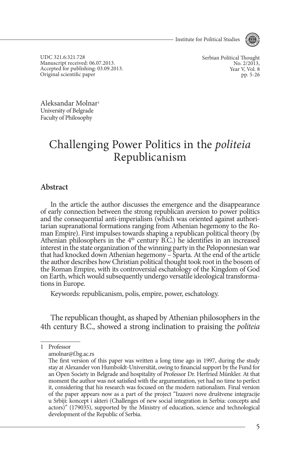- Institute for Political Studies



UDC 321.6:321.728 Manuscript received: 06.07.2013. Accepted for publishing: 03.09.2013. Original scientific paper

Serbian Political Thought No. 2/2013. Year V, Vol. 8 pp. 5-26

Aleksandar Molnar1 University of Belgrade Faculty of Philosophy

# Challenging Power Politics in the *politeia* Republicanism

### **Abstract**

In the article the author discusses the emergence and the disappearance of early connection between the strong republican aversion to power politics tarian supranational formations ranging from Athenian hegemony to the Roman Empire). First impulses towards shaping a republican political theory (by Athenian philosophers in the  $4<sup>th</sup>$  century B.C.) he identifies in an increased interest in the state organization of the winning party in the Peloponnesian war that had knocked down Athenian hegemony – Sparta. At the end of the article the author describes how Christian political thought took root in the bosom of the Roman Empire, with its controversial eschatology of the Kingdom of God on Earth, which would subsequently undergo versatile ideological transforma- tions in Europe.

Keywords: republicanism, polis, empire, power, eschatology.

The republican thought, as shaped by Athenian philosophers in the 4th century B.C., showed a strong inclination to praising the *politeia*

<sup>1</sup> Professor

amolnar@f.bg.ac.rs

The first version of this paper was written a long time ago in 1997, during the study stay at Alexander von Humboldt-Universität, owing to financial support by the Fund for an Open Society in Belgrade and hospitality of Professor Dr. Herfried Münkler. At that moment the author was not satisfied with the argumentation, yet had no time to perfect it, considering that his research was focused on the modern nationalism. Final version of the paper appears now as a part of the project "Izazovi nove društvene integracije u Srbiji: koncept i akteri (Challenges of new social integration in Serbia: concepts and actors)" (179035), supported by the Ministry of education, science and technological development of the Republic of Serbia.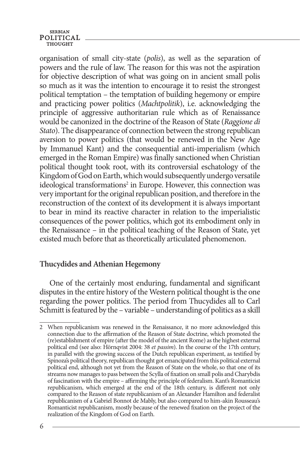organisation of small city-state (*polis*), as well as the separation of powers and the rule of law. The reason for this was not the aspiration for objective description of what was going on in ancient small polis so much as it was the intention to encourage it to resist the strongest political temptation – the temptation of building hegemony or empire and practicing power politics (*Machtpolitik*), i.e. acknowledging the principle of aggressive authoritarian rule which as of Renaissance would be canonized in the doctrine of the Reason of State (*Raggione di Stato*). The disappearance of connection between the strong republican aversion to power politics (that would be renewed in the New Age by Immanuel Kant) and the consequential anti-imperialism (which emerged in the Roman Empire) was finally sanctioned when Christian political thought took root, with its controversial eschatology of the Kingdom of God on Earth, which would subsequently undergo versatile ideological transformations<sup>2</sup> in Europe. However, this connection was very important for the original republican position, and therefore in the reconstruction of the context of its development it is always important to bear in mind its reactive character in relation to the imperialistic consequences of the power politics, which got its embodiment only in the Renaissance – in the political teaching of the Reason of State, yet existed much before that as theoretically articulated phenomenon.

## **Thucydides and Athenian Hegemony**

One of the certainly most enduring, fundamental and significant disputes in the entire history of the Western political thought is the one regarding the power politics. The period from Thucydides all to Carl Schmitt is featured by the – variable – understanding of politics as a skill

<sup>2</sup> When republicanism was renewed in the Renaissance, it no more acknowledged this connection due to the affirmation of the Reason of State doctrine, which promoted the (re)establishment of empire (after the model of the ancient Rome) as the highest external political end (see also: Hörnqvist 2004: 38 *et passim*). In the course of the 17th century, in parallel with the growing success of the Dutch republican experiment, as testified by Spinoza's political theory, republican thought got emancipated from this political external political end, although not yet from the Reason of State on the whole, so that one of its streams now manages to pass between the Scylla of fixation on small polis and Charybdis of fascination with the empire – affirming the principle of federalism. Kant's Romanticist republicanism, which emerged at the end of the 18th century, is different not only compared to the Reason of state republicanism of an Alexander Hamilton and federalist republicanism of a Gabriel Bonnot de Mably, but also compared to him-akin Rousseau's Romanticist republicanism, mostly because of the renewed fixation on the project of the realization of the Kingdom of God on Earth.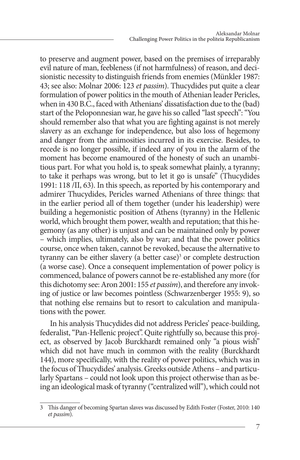to preserve and augment power, based on the premises of irreparably evil nature of man, feebleness (if not harmfulness) of reason, and decisionistic necessity to distinguish friends from enemies (Münkler 1987: 43; see also: Molnar 2006: 123 *et passim*). Thucydides put quite a clear formulation of power politics in the mouth of Athenian leader Pericles, when in 430 B.C., faced with Athenians' dissatisfaction due to the (bad) start of the Peloponnesian war, he gave his so called "last speech": "You should remember also that what you are fighting against is not merely slavery as an exchange for independence, but also loss of hegemony and danger from the animosities incurred in its exercise. Besides, to recede is no longer possible, if indeed any of you in the alarm of the moment has become enamoured of the honesty of such an unambitious part. For what you hold is, to speak somewhat plainly, a tyranny; to take it perhaps was wrong, but to let it go is unsafe" (Thucydides 1991: 118 /II, 63). In this speech, as reported by his contemporary and admirer Thucydides, Pericles warned Athenians of three things: that in the earlier period all of them together (under his leadership) were building a hegemonistic position of Athens (tyranny) in the Hellenic world, which brought them power, wealth and reputation; that this hegemony (as any other) is unjust and can be maintained only by power – which implies, ultimately, also by war; and that the power politics course, once when taken, cannot be revoked, because the alternative to tyranny can be either slavery (a better case)<sup>3</sup> or complete destruction (a worse case). Once a consequent implementation of power policy is commenced, balance of powers cannot be re-established any more (for this dichotomy see: Aron 2001: 155 *et passim*), and therefore any invoking of justice or law becomes pointless (Schwarzenberger 1955: 9), so that nothing else remains but to resort to calculation and manipulations with the power.

In his analysis Thucydides did not address Pericles' peace-building, federalist, "Pan-Hellenic project". Quite rightfully so, because this project, as observed by Jacob Burckhardt remained only "a pious wish" which did not have much in common with the reality (Burckhardt 144), more specifically, with the reality of power politics, which was in the focus of Thucydides' analysis. Greeks outside Athens – and particularly Spartans – could not look upon this project otherwise than as being an ideological mask of tyranny ("centralized will"), which could not

<sup>3</sup> This danger of becoming Spartan slaves was discussed by Edith Foster (Foster, 2010: 140 *et passim*).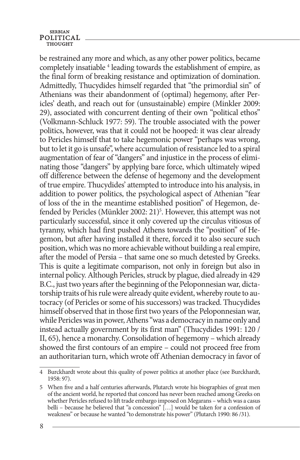be restrained any more and which, as any other power politics, became completely insatiable <sup>4</sup> leading towards the establishment of empire, as the final form of breaking resistance and optimization of domination. Admittedly, Thucydides himself regarded that "the primordial sin" of Athenians was their abandonment of (optimal) hegemony, after Pericles' death, and reach out for (unsustainable) empire (Minkler 2009: 29), associated with concurrent denting of their own "political ethos" (Volkmann-Schluck 1977: 59). The trouble associated with the power politics, however, was that it could not be hooped: it was clear already to Pericles himself that to take hegemonic power "perhaps was wrong, but to let it go is unsafe", where accumulation of resistance led to a spiral augmentation of fear of "dangers" and injustice in the process of eliminating those "dangers" by applying bare force, which ultimately wiped off difference between the defense of hegemony and the development of true empire. Thucydides' attempted to introduce into his analysis, in addition to power politics, the psychological aspect of Athenian "fear of loss of the in the meantime established position" of Hegemon, defended by Pericles (Münkler 2002: 21)<sup>5</sup>. However, this attempt was not particularly successful, since it only covered up the circulus vitiosus of tyranny, which had first pushed Athens towards the "position" of Hegemon, but after having installed it there, forced it to also secure such position, which was no more achievable without building a real empire, after the model of Persia – that same one so much detested by Greeks. This is quite a legitimate comparison, not only in foreign but also in internal policy. Although Pericles, struck by plague, died already in 429 B.C., just two years after the beginning of the Peloponnesian war, dictatorship traits of his rule were already quite evident, whereby route to autocracy (of Pericles or some of his successors) was tracked. Thucydides himself observed that in those first two years of the Peloponnesian war, while Pericles was in power, Athens "was a democracy in name only and instead actually government by its first man" (Thucydides 1991: 120 / II, 65), hence a monarchy. Consolidation of hegemony – which already showed the first contours of an empire – could not proceed free from an authoritarian turn, which wrote off Athenian democracy in favor of

<sup>4</sup> Burckhardt wrote about this quality of power politics at another place (see Burckhardt, 1958: 97).

<sup>5</sup> When five and a half centuries afterwards, Plutarch wrote his biographies of great men of the ancient world, he reported that concord has never been reached among Greeks on whether Pericles refused to lift trade embargo imposed on Megarans – which was a casus belli – because he believed that "a concession" […] would be taken for a confession of weakness" or because he wanted "to demonstrate his power" (Plutarch 1990: 86 /31).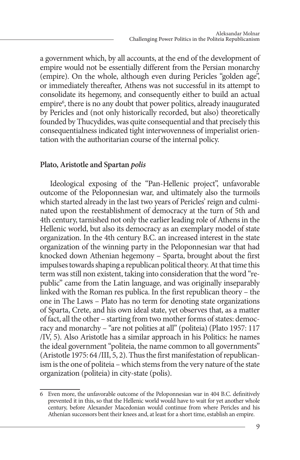a government which, by all accounts, at the end of the development of empire would not be essentially different from the Persian monarchy (empire). On the whole, although even during Pericles "golden age", or immediately thereafter, Athens was not successful in its attempt to consolidate its hegemony, and consequently either to build an actual empire<sup>6</sup>, there is no any doubt that power politics, already inaugurated by Pericles and (not only historically recorded, but also) theoretically founded by Thucydides, was quite consequential and that precisely this consequentialness indicated tight interwovenness of imperialist orientation with the authoritarian course of the internal policy.

### **Plato, Aristotle and Spartan** *polis*

Ideological exposing of the "Pan-Hellenic project", unfavorable outcome of the Peloponnesian war, and ultimately also the turmoils which started already in the last two years of Pericles' reign and culminated upon the reestablishment of democracy at the turn of 5th and 4th century, tarnished not only the earlier leading role of Athens in the Hellenic world, but also its democracy as an exemplary model of state organization. In the 4th century B.C. an increased interest in the state organization of the winning party in the Peloponnesian war that had knocked down Athenian hegemony – Sparta, brought about the first impulses towards shaping a republican political theory. At that time this term was still non existent, taking into consideration that the word "republic" came from the Latin language, and was originally inseparably linked with the Roman res publica. In the first republican theory – the one in The Laws – Plato has no term for denoting state organizations of Sparta, Crete, and his own ideal state, yet observes that, as a matter of fact, all the other – starting from two mother forms of states: democracy and monarchy – "are not polities at all" (politeia) (Plato 1957: 117 /IV, 5). Also Aristotle has a similar approach in his Politics: he names the ideal government "politeia, the name common to all governments" (Aristotle 1975: 64 /III, 5, 2). Thus the first manifestation of republicanism is the one of politeia – which stems from the very nature of the state organization (politeia) in city-state (polis).

<sup>6</sup> Even more, the unfavorable outcome of the Peloponnesian war in 404 B.C. definitively prevented it in this, so that the Hellenic world would have to wait for yet another whole century, before Alexander Macedonian would continue from where Pericles and his Athenian successors bent their knees and, at least for a short time, establish an empire.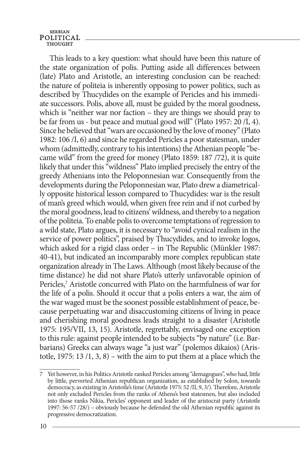This leads to a key question: what should have been this nature of the state organization of polis. Putting aside all differences between (late) Plato and Aristotle, an interesting conclusion can be reached: the nature of politeia is inherently opposing to power politics, such as described by Thucydides on the example of Pericles and his immediate successors. Polis, above all, must be guided by the moral goodness, which is "neither war nor faction – they are things we should pray to be far from us - but peace and mutual good will" (Plato 1957: 20 /I, 4). Since he believed that "wars are occasioned by the love of money" (Plato 1982: 106 /I, 6) and since he regarded Pericles a poor statesman, under whom (admittedly, contrary to his intentions) the Athenian people "became wild" from the greed for money (Plato 1859: 187 /72), it is quite likely that under this "wildness" Plato implied precisely the entry of the greedy Athenians into the Peloponnesian war. Consequently from the developments during the Peloponnesian war, Plato drew a diametrically opposite historical lesson compared to Thucydides: war is the result of man's greed which would, when given free rein and if not curbed by the moral goodness, lead to citizens' wildness, and thereby to a negation of the politeia. To enable polis to overcome temptations of regression to a wild state, Plato argues, it is necessary to "avoid cynical realism in the service of power politics", praised by Thucydides, and to invoke logos, which asked for a rigid class order – in The Republic (Münkler 1987: 40-41), but indicated an incomparably more complex republican state organization already in The Laws. Although (most likely because of the time distance) he did not share Plato's utterly unfavorable opinion of Pericles,<sup>7</sup> Aristotle concurred with Plato on the harmfulness of war for the life of a polis. Should it occur that a polis enters a war, the aim of the war waged must be the soonest possible establishment of peace, because perpetuating war and disaccustoming citizens of living in peace and cherishing moral goodness leads straight to a disaster (Aristotle 1975: 195/VII, 13, 15). Aristotle, regrettably, envisaged one exception to this rule: against people intended to be subjects "by nature" (i.e. Barbarians) Greeks can always wage "a just war" (polemos dikaios) (Aristotle, 1975: 13  $/1$ , 3, 8) – with the aim to put them at a place which the

<sup>7</sup> Yet however, in his Politics Aristotle ranked Pericles among "demagogues", who had, little by little, perverted Athenian republican organization, as established by Solon, towards democracy, as existing in Aristotle's time (Aristotle 1975: 52 /II, 9, 3/). Therefore, Aristotle not only excluded Pericles from the ranks of Athens's best statesmen, but also included into those ranks Nikia, Pericles' opponent and leader of the aristocrat party (Aristotle 1997: 56-57 /28/) – obviously because he defended the old Athenian republic against its progressive democratization.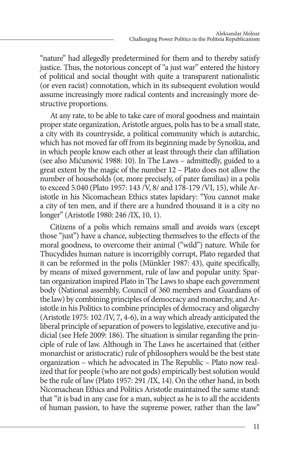"nature" had allegedly predetermined for them and to thereby satisfy justice. Thus, the notorious concept of "a just war" entered the history of political and social thought with quite a transparent nationalistic (or even racist) connotation, which in its subsequent evolution would assume increasingly more radical contents and increasingly more destructive proportions.

At any rate, to be able to take care of moral goodness and maintain proper state organization, Aristotle argues, polis has to be a small state, a city with its countryside, a political community which is autarchic, which has not moved far off from its beginning made by Synoikia, and in which people know each other at least through their clan affiliation (see also Mićunović 1988: 10). In The Laws – admittedly, guided to a great extent by the magic of the number 12 – Plato does not allow the number of households (or, more precisely, of pater familias) in a polis to exceed 5.040 (Plato 1957: 143 /V, 8/ and 178-179 /VI, 15), while Aristotle in his Nicomachean Ethics states lapidary: "You cannot make a city of ten men, and if there are a hundred thousand it is a city no longer" (Aristotle 1980: 246 /IX, 10, 1).

Citizens of a polis which remains small and avoids wars (except those "just") have a chance, subjecting themselves to the effects of the moral goodness, to overcome their animal ("wild") nature. While for Thucydides human nature is incorrigibly corrupt, Plato regarded that it can be reformed in the polis (Münkler 1987: 43), quite specifically, by means of mixed government, rule of law and popular unity. Spartan organization inspired Plato in The Laws to shape each government body (National assembly, Council of 360 members and Guardians of the law) by combining principles of democracy and monarchy, and Aristotle in his Politics to combine principles of democracy and oligarchy (Aristotle 1975: 102 /IV, 7, 4-6), in a way which already anticipated the liberal principle of separation of powers to legislative, executive and judicial (see Hefe 2009: 186). The situation is similar regarding the principle of rule of law. Although in The Laws he ascertained that (either monarchist or aristocratic) rule of philosophers would be the best state organization – which he advocated in The Republic – Plato now realized that for people (who are not gods) empirically best solution would be the rule of law (Plato 1957: 291 /IX, 14). On the other hand, in both Nicomachean Ethics and Politics Aristotle maintained the same stand: that "it is bad in any case for a man, subject as he is to all the accidents of human passion, to have the supreme power, rather than the law"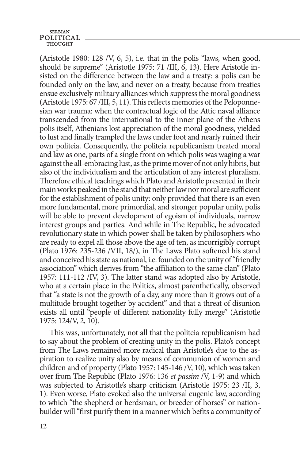(Aristotle 1980: 128 /V, 6, 5), i.e. that in the polis "laws, when good, should be supreme" (Aristotle 1975: 71 /III,  $\vec{6}$ , 13). Here Aristotle insisted on the difference between the law and a treaty: a polis can be founded only on the law, and never on a treaty, because from treaties ensue exclusively military alliances which suppress the moral goodness (Aristotle 1975: 67 /III, 5, 11). This reflects memories of the Peloponnesian war trauma: when the contractual logic of the Attic naval alliance transcended from the international to the inner plane of the Athens polis itself, Athenians lost appreciation of the moral goodness, yielded to lust and finally trampled the laws under foot and nearly ruined their own politeia. Consequently, the politeia republicanism treated moral and law as one, parts of a single front on which polis was waging a war against the all-embracing lust, as the prime mover of not only hibris, but also of the individualism and the articulation of any interest pluralism. Therefore ethical teachings which Plato and Aristotle presented in their main works peaked in the stand that neither law nor moral are sufficient for the establishment of polis unity: only provided that there is an even more fundamental, more primordial, and stronger popular unity, polis will be able to prevent development of egoism of individuals, narrow interest groups and parties. And while in The Republic, he advocated revolutionary state in which power shall be taken by philosophers who are ready to expel all those above the age of ten, as incorrigibly corrupt (Plato 1976: 235-236 /VII, 18/), in The Laws Plato softened his stand and conceived his state as national, i.e. founded on the unity of "friendly association" which derives from "the affiliation to the same clan" (Plato 1957: 111-112 /IV, 3). The latter stand was adopted also by Aristotle, who at a certain place in the Politics, almost parenthetically, observed that "a state is not the growth of a day, any more than it grows out of a multitude brought together by accident" and that a threat of disunion exists all until "people of different nationality fully merge" (Aristotle 1975: 124/V, 2, 10).

This was, unfortunately, not all that the politeia republicanism had to say about the problem of creating unity in the polis. Plato's concept from The Laws remained more radical than Aristotle's due to the aspiration to realize unity also by means of communion of women and children and of property (Plato 1957: 145-146 /V, 10), which was taken over from The Republic (Plato 1976: 136 *et passim* /V, 1-9) and which was subjected to Aristotle's sharp criticism (Aristotle 1975: 23 /II, 3, 1). Even worse, Plato evoked also the universal eugenic law, according to which "the shepherd or herdsman, or breeder of horses" or nationbuilder will "first purify them in a manner which befits a community of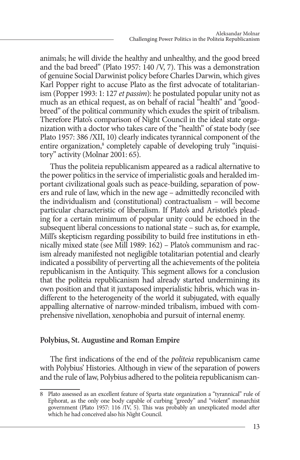animals; he will divide the healthy and unhealthy, and the good breed and the bad breed" (Plato 1957: 140 /V, 7). This was a demonstration of genuine Social Darwinist policy before Charles Darwin, which gives Karl Popper right to accuse Plato as the first advocate of totalitarianism (Popper 1993: 1: 127 *et passim*): he postulated popular unity not as much as an ethical request, as on behalf of racial "health" and "goodbreed" of the political community which exudes the spirit of tribalism. Therefore Plato's comparison of Night Council in the ideal state organization with a doctor who takes care of the "health" of state body (see Plato 1957: 386 /XII, 10) clearly indicates tyrannical component of the entire organization,<sup>8</sup> completely capable of developing truly "inquisitory" activity (Molnar 2001: 65).

Thus the politeia republicanism appeared as a radical alternative to the power politics in the service of imperialistic goals and heralded important civilizational goals such as peace-building, separation of powers and rule of law, which in the new age – admittedly reconciled with the individualism and (constitutional) contractualism – will become particular characteristic of liberalism. If Plato's and Aristotle's pleading for a certain minimum of popular unity could be echoed in the subsequent liberal concessions to national state – such as, for example, Mill's skepticism regarding possibility to build free institutions in ethnically mixed state (see Mill 1989: 162) – Plato's communism and racism already manifested not negligible totalitarian potential and clearly indicated a possibility of perverting all the achievements of the politeia republicanism in the Antiquity. This segment allows for a conclusion that the politeia republicanism had already started undermining its own position and that it juxtaposed imperialistic hibris, which was indifferent to the heterogeneity of the world it subjugated, with equally appalling alternative of narrow-minded tribalism, imbued with comprehensive nivellation, xenophobia and pursuit of internal enemy.

### **Polybius, St. Augustine and Roman Empire**

The first indications of the end of the *politeia* republicanism came with Polybius' Histories. Although in view of the separation of powers and the rule of law, Polybius adhered to the politeia republicanism can-

<sup>8</sup> Plato assessed as an excellent feature of Sparta state organization a "tyrannical" rule of Ephorat, as the only one body capable of curbing "greedy" and "violent" monarchist government (Plato 1957: 116 /IV, 5). This was probably an unexplicated model after which he had conceived also his Night Council.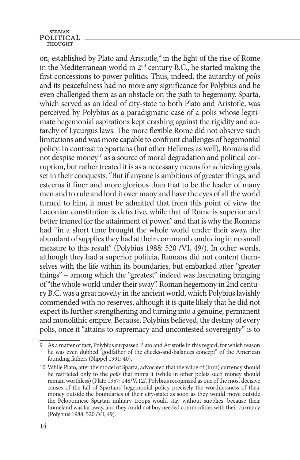on, established by Plato and Aristotle,<sup>9</sup> in the light of the rise of Rome in the Mediterranean world in  $2<sup>nd</sup>$  century B.C., he started making the first concessions to power politics. Thus, indeed, the autarchy of *polis*  and its peacefulness had no more any significance for Polybius and he even challenged them as an obstacle on the path to hegemony. Sparta, which served as an ideal of city-state to both Plato and Aristotle, was perceived by Polybius as a paradigmatic case of a polis whose legitimate hegemonial aspirations kept crashing against the rigidity and autarchy of Lycurgus laws. The more flexible Rome did not observe such limitations and was more capable to confront challenges of hegemonial policy. In contrast to Spartans (but other Hellenes as well), Romans did not despise money<sup>10</sup> as a source of moral degradation and political corruption, but rather treated it is as a necessary means for achieving goals set in their conquests. "But if anyone is ambitious of greater things, and esteems it finer and more glorious than that to be the leader of many men and to rule and lord it over many and have the eyes of all the world turned to him, it must be admitted that from this point of view the Laconian constitution is defective, while that of Rome is superior and better framed for the attainment of power," and that is why the Romans had "in a short time brought the whole world under their sway, the abundant of supplies they had at their command conducing in no small measure to this result" (Polybius 1988: 520 /VI, 49/). In other words, although they had a superior politeia, Romans did not content themselves with the life within its boundaries, but embarked after "greater things" – among which the "greatest" indeed was fascinating bringing of "the whole world under their sway". Roman hegemony in 2nd century B.C. was a great novelty in the ancient world, which Polybius lavishly commended with no reserves, although it is quite likely that he did not expect its further strengthening and turning into a genuine, permanent and monolithic empire. Because, Polybius believed, the destiny of every polis, once it "attains to supremacy and uncontested sovereignty" is to

<sup>9</sup> As a matter of fact, Polybius surpassed Plato and Aristotle in this regard, for which reason he was even dubbed "godfather of the checks-and-balances concept" of the American founding fathers (Nippel 1991: 40).

<sup>10</sup> While Plato, after the model of Sparta, advocated that the value of (iron) currency should be restricted only to the *polis* that mints it (while in other poleis such money should remain worthless) (Plato 1957: 148/V, 12/, Polybius recognized as one of the most decisive causes of the fall of Spartans' hegemonial policy precisely the worthlessness of their money outside the boundaries of their city-state: as soon as they would move outside the Peloponnese Spartan military troops would stay without supplies, because their homeland was far away, and they could not buy needed commodities with their currency (Polybius 1988: 520 /VI, 49).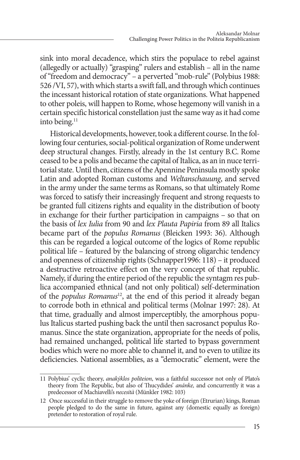sink into moral decadence, which stirs the populace to rebel against (allegedly or actually) "grasping" rulers and establish – all in the name of "freedom and democracy" – a perverted "mob-rule" (Polybius 1988: 526 /VI, 57), with which starts a swift fall, and through which continues the incessant historical rotation of state organizations. What happened to other poleis, will happen to Rome, whose hegemony will vanish in a certain specific historical constellation just the same way as it had come into being.<sup>11</sup>

Historical developments, however, took a different course. In the following four centuries, social-political organization of Rome underwent deep structural changes. Firstly, already in the 1st century B.C. Rome ceased to be a polis and became the capital of Italica, as an in nuce territorial state. Until then, citizens of the Apennine Peninsula mostly spoke Latin and adopted Roman customs and *Weltanschauung*, and served in the army under the same terms as Romans, so that ultimately Rome was forced to satisfy their increasingly frequent and strong requests to be granted full citizens rights and equality in the distribution of booty in exchange for their further participation in campaigns – so that on the basis of *lex Iulia* from 90 and *lex Plauta Papiria* from 89 all Italics became part of the *populus Romanus* (Bleicken 1993: 36). Although this can be regarded a logical outcome of the logics of Rome republic political life – featured by the balancing of strong oligarchic tendency and openness of citizenship rights (Schnapper1996: 118) – it produced a destructive retroactive effect on the very concept of that republic. Namely, if during the entire period of the republic the syntagm res publica accompanied ethnical (and not only political) self-determination of the *populus Romanus*12, at the end of this period it already began to corrode both in ethnical and political terms (Molnar 1997: 28). At that time, gradually and almost imperceptibly, the amorphous populus Italicus started pushing back the until then sacrosanct populus Romanus. Since the state organization, appropriate for the needs of polis, had remained unchanged, political life started to bypass government bodies which were no more able to channel it, and to even to utilize its deficiencies. National assemblies, as a "democratic" element, were the

<sup>11</sup> Polybius' cyclic theory, *anakýklos politeion*, was a faithful successor not only of Plato's theory from The Republic, but also of Thucydides' *anánke,* and concurrently it was a predecessor of Machiavelli's *necesità* (Münkler 1982: 103)

<sup>12</sup> Once successful in their struggle to remove the yoke of foreign (Etrurian) kings, Roman people pledged to do the same in future, against any (domestic equally as foreign) pretender to restoration of royal rule.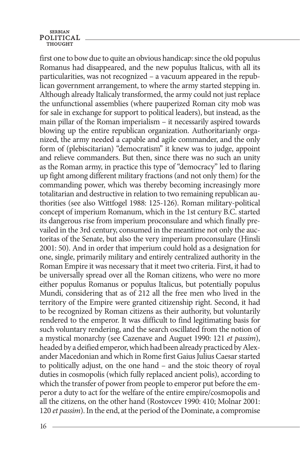first one to bow due to quite an obvious handicap: since the old populus Romanus had disappeared, and the new populus Italicus, with all its particularities, was not recognized – a vacuum appeared in the republican government arrangement, to where the army started stepping in. Although already Italicaly transformed, the army could not just replace the unfunctional assemblies (where pauperized Roman city mob was for sale in exchange for support to political leaders), but instead, as the main pillar of the Roman imperialism – it necessarily aspired towards blowing up the entire republican organization. Authoritarianly organized, the army needed a capable and agile commander, and the only form of (plebiscitarian) "democratism" it knew was to judge, appoint and relieve commanders. But then, since there was no such an unity as the Roman army, in practice this type of "democracy" led to flaring up fight among different military fractions (and not only them) for the commanding power, which was thereby becoming increasingly more totalitarian and destructive in relation to two remaining republican authorities (see also Wittfogel 1988: 125-126). Roman military-political concept of imperium Romanum, which in the 1st century B.C. started its dangerous rise from imperium proconsulare and which finally prevailed in the 3rd century, consumed in the meantime not only the auctoritas of the Senate, but also the very imperium proconsulare (Hinsli 2001: 50). And in order that imperium could hold as a designation for one, single, primarily military and entirely centralized authority in the Roman Empire it was necessary that it meet two criteria. First, it had to be universally spread over all the Roman citizens, who were no more either populus Romanus or populus Italicus, but potentially populus Mundi, considering that as of 212 all the free men who lived in the territory of the Empire were granted citizenship right. Second, it had to be recognized by Roman citizens as their authority, but voluntarily rendered to the emperor. It was difficult to find legitimating basis for such voluntary rendering, and the search oscillated from the notion of a mystical monarchy (see Cazenave and Auguet 1990: 121 *et passim*), headed by a deified emperor, which had been already practiced by Alexander Macedonian and which in Rome first Gaius Julius Caesar started to politically adjust, on the one hand – and the stoic theory of royal duties in cosmopolis (which fully replaced ancient polis), according to which the transfer of power from people to emperor put before the emperor a duty to act for the welfare of the entire empire/cosmopolis and all the citizens, on the other hand (Rostovcev 1990: 410; Molnar 2001: 120 *et passim*). In the end, at the period of the Dominate, a compromise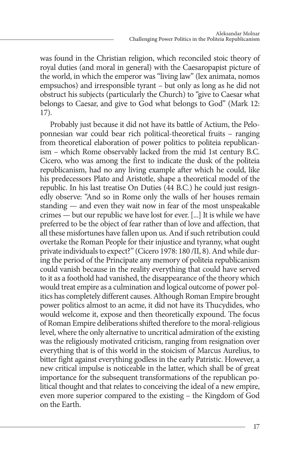was found in the Christian religion, which reconciled stoic theory of royal duties (and moral in general) with the Caesaropapist picture of the world, in which the emperor was "living law" (lex animata, nomos empsuchos) and irresponsible tyrant – but only as long as he did not obstruct his subjects (particularly the Church) to "give to Caesar what belongs to Caesar, and give to God what belongs to God" (Mark 12: 17).

Probably just because it did not have its battle of Actium, the Peloponnesian war could bear rich political-theoretical fruits – ranging from theoretical elaboration of power politics to politeia republicanism – which Rome observably lacked from the mid 1st century B.C. Cicero, who was among the first to indicate the dusk of the politeia republicanism, had no any living example after which he could, like his predecessors Plato and Aristotle, shape a theoretical model of the republic. In his last treatise On Duties (44 B.C.) he could just resignedly observe: "And so in Rome only the walls of her houses remain standing — and even they wait now in fear of the most unspeakable crimes — but our republic we have lost for ever. [...] It is while we have preferred to be the object of fear rather than of love and affection, that all these misfortunes have fallen upon us. And if such retribution could overtake the Roman People for their injustice and tyranny, what ought private individuals to expect?" (Cicero 1978: 180 /II, 8). And while during the period of the Principate any memory of politeia republicanism could vanish because in the reality everything that could have served to it as a foothold had vanished, the disappearance of the theory which would treat empire as a culmination and logical outcome of power politics has completely different causes. Although Roman Empire brought power politics almost to an acme, it did not have its Thucydides, who would welcome it, expose and then theoretically expound. The focus of Roman Empire deliberations shifted therefore to the moral-religious level, where the only alternative to uncritical admiration of the existing was the religiously motivated criticism, ranging from resignation over everything that is of this world in the stoicism of Marcus Aurelius, to bitter fight against everything godless in the early Patristic. However, a new critical impulse is noticeable in the latter, which shall be of great importance for the subsequent transformations of the republican political thought and that relates to conceiving the ideal of a new empire, even more superior compared to the existing – the Kingdom of God on the Earth.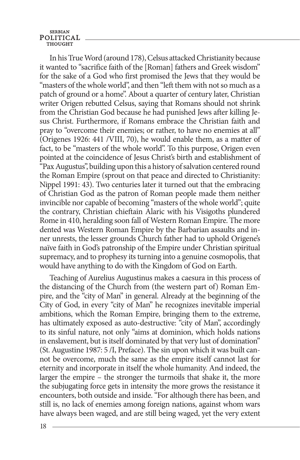In his True Word (around 178), Celsus attacked Christianity because it wanted to "sacrifice faith of the [Roman] fathers and Greek wisdom" for the sake of a God who first promised the Jews that they would be "masters of the whole world", and then "left them with not so much as a patch of ground or a home". About a quarter of century later, Christian writer Origen rebutted Celsus, saying that Romans should not shrink from the Christian God because he had punished Jews after killing Jesus Christ. Furthermore, if Romans embrace the Christian faith and pray to "overcome their enemies; or rather, to have no enemies at all" (Origenes 1926: 441 /VIII, 70), he would enable them, as a matter of fact, to be "masters of the whole world". To this purpose, Origen even pointed at the coincidence of Jesus Christ's birth and establishment of "Pax Augustus", building upon this a history of salvation centered round the Roman Empire (sprout on that peace and directed to Christianity: Nippel 1991: 43). Two centuries later it turned out that the embracing of Christian God as the patron of Roman people made them neither invincible nor capable of becoming "masters of the whole world"; quite the contrary, Christian chieftain Alaric with his Visigoths plundered Rome in 410, heralding soon fall of Western Roman Empire. The more dented was Western Roman Empire by the Barbarian assaults and inner unrests, the lesser grounds Church father had to uphold Origene's naïve faith in God's patronship of the Empire under Christian spiritual supremacy, and to prophesy its turning into a genuine cosmopolis, that would have anything to do with the Kingdom of God on Earth.

Teaching of Aurelius Augustinus makes a caesura in this process of the distancing of the Church from (the western part of) Roman Empire, and the "city of Man" in general. Already at the beginning of the City of God, in every "city of Man" he recognizes inevitable imperial ambitions, which the Roman Empire, bringing them to the extreme, has ultimately exposed as auto-destructive: "city of Man", accordingly to its sinful nature, not only "aims at dominion, which holds nations in enslavement, but is itself dominated by that very lust of domination" (St. Augustine 1987: 5 /I, Preface). The sin upon which it was built cannot be overcome, much the same as the empire itself cannot last for eternity and incorporate in itself the whole humanity. And indeed, the larger the empire – the stronger the turmoils that shake it, the more the subjugating force gets in intensity the more grows the resistance it encounters, both outside and inside. "For although there has been, and still is, no lack of enemies among foreign nations, against whom wars have always been waged, and are still being waged, yet the very extent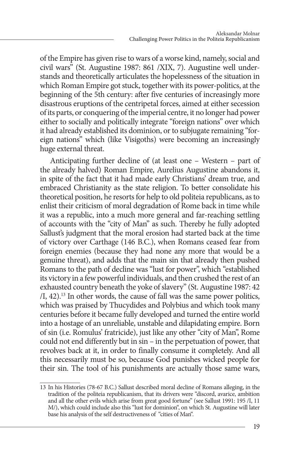of the Empire has given rise to wars of a worse kind, namely, social and civil wars" (St. Augustine 1987: 861 /XIX, 7). Augustine well understands and theoretically articulates the hopelessness of the situation in which Roman Empire got stuck, together with its power-politics, at the beginning of the 5th century: after five centuries of increasingly more disastrous eruptions of the centripetal forces, aimed at either secession of its parts, or conquering of the imperial centre, it no longer had power either to socially and politically integrate "foreign nations" over which it had already established its dominion, or to subjugate remaining "foreign nations" which (like Visigoths) were becoming an increasingly huge external threat.

Anticipating further decline of (at least one – Western – part of the already halved) Roman Empire, Aurelius Augustine abandons it, in spite of the fact that it had made early Christians' dream true, and embraced Christianity as the state religion. To better consolidate his theoretical position, he resorts for help to old politeia republicans, as to enlist their criticism of moral degradation of Rome back in time while it was a republic, into a much more general and far-reaching settling of accounts with the "city of Man" as such. Thereby he fully adopted Sallust's judgment that the moral erosion had started back at the time of victory over Carthage (146 B.C.), when Romans ceased fear from foreign enemies (because they had none any more that would be a genuine threat), and adds that the main sin that already then pushed Romans to the path of decline was "lust for power", which "established its victory in a few powerful individuals, and then crushed the rest of an exhausted country beneath the yoke of slavery" (St. Augustine 1987: 42  $/I$ , 42).<sup>13</sup> In other words, the cause of fall was the same power politics, which was praised by Thucydides and Polybius and which took many centuries before it became fully developed and turned the entire world into a hostage of an unreliable, unstable and dilapidating empire. Born of sin (i.e. Romulus' fratricide), just like any other "city of Man", Rome could not end differently but in sin – in the perpetuation of power, that revolves back at it, in order to finally consume it completely. And all this necessarily must be so, because God punishes wicked people for their sin. The tool of his punishments are actually those same wars,

<sup>13</sup> In his Histories (78-67 B.C.) Sallust described moral decline of Romans alleging, in the tradition of the politeia republicanism, that its drivers were "discord, avarice, ambition and all the other evils which arise from great good fortune" (see Sallust 1991: 195 /I, 11 M/), which could include also this "lust for dominion", on which St. Augustine will later base his analysis of the self destructiveness of "cities of Man".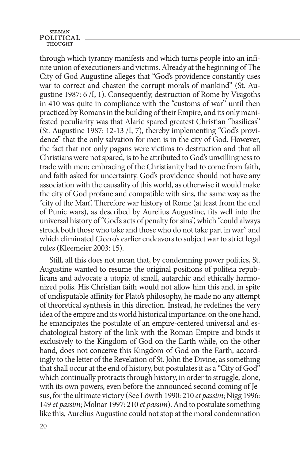## **SERBIAN** POLITICAL

through which tyranny manifests and which turns people into an infinite union of executioners and victims. Already at the beginning of The City of God Augustine alleges that "God's providence constantly uses war to correct and chasten the corrupt morals of mankind" (St. Augustine 1987: 6 /I, 1). Consequently, destruction of Rome by Visigoths in 410 was quite in compliance with the "customs of war" until then practiced by Romans in the building of their Empire, and its only manifested peculiarity was that Alaric spared greatest Christian "basilicas" (St. Augustine 1987: 12-13 /I, 7), thereby implementing "God's providence" that the only salvation for men is in the city of God. However, the fact that not only pagans were victims to destruction and that all Christians were not spared, is to be attributed to God's unwillingness to trade with men; embracing of the Christianity had to come from faith, and faith asked for uncertainty. God's providence should not have any association with the causality of this world, as otherwise it would make the city of God profane and compatible with sins, the same way as the "city of the Man". Therefore war history of Rome (at least from the end of Punic wars), as described by Aurelius Augustine, fits well into the universal history of "God's acts of penalty for sins", which "could always struck both those who take and those who do not take part in war" and which eliminated Cicero's earlier endeavors to subject war to strict legal rules (Kleemeier 2003: 15).

Still, all this does not mean that, by condemning power politics, St. Augustine wanted to resume the original positions of politeia republicans and advocate a utopia of small, autarchic and ethically harmonized polis. His Christian faith would not allow him this and, in spite of undisputable affinity for Plato's philosophy, he made no any attempt of theoretical synthesis in this direction. Instead, he redefines the very idea of the empire and its world historical importance: on the one hand, he emancipates the postulate of an empire-centered universal and eschatological history of the link with the Roman Empire and binds it exclusively to the Kingdom of God on the Earth while, on the other hand, does not conceive this Kingdom of God on the Earth, accordingly to the letter of the Revelation of St. John the Divine, as something that shall occur at the end of history, but postulates it as a "City of God" which continually protracts through history, in order to struggle, alone, with its own powers, even before the announced second coming of Jesus, for the ultimate victory (See Löwith 1990: 210 *et passim*; Nigg 1996: 149 *et passim*; Molnar 1997: 210 *et passim*). And to postulate something like this, Aurelius Augustine could not stop at the moral condemnation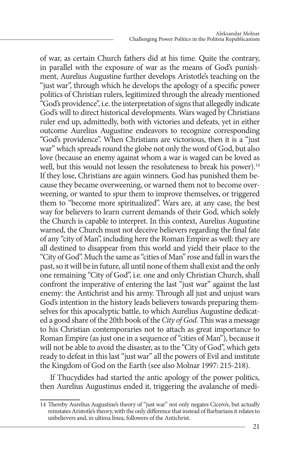of war, as certain Church fathers did at his time. Quite the contrary, in parallel with the exposure of war as the means of God's punishment, Aurelius Augustine further develops Aristotle's teaching on the "just war", through which he develops the apology of a specific power politics of Christian rulers, legitimized through the already mentioned "God's providence", i.e. the interpretation of signs that allegedly indicate God's will to direct historical developments. Wars waged by Christians ruler end up, admittedly, both with victories and defeats, yet in either outcome Aurelius Augustine endeavors to recognize corresponding "God's providence". When Christians are victorious, then it is a "just war" which spreads round the globe not only the word of God, but also love (because an enemy against whom a war is waged can be loved as well, but this would not lessen the resoluteness to break his power).<sup>14</sup> If they lose, Christians are again winners. God has punished them because they became overweening, or warned them not to become overweening, or wanted to spur them to improve themselves, or triggered them to "become more spiritualized". Wars are, at any case, the best way for believers to learn current demands of their God, which solely the Church is capable to interpret. In this context, Aurelius Augustine warned, the Church must not deceive believers regarding the final fate of any "city of Man", including here the Roman Empire as well: they are all destined to disappear from this world and yield their place to the "City of God". Much the same as "cities of Man" rose and fall in wars the past, so it will be in future, all until none of them shall exist and the only one remaining "City of God", i.e. one and only Christian Church, shall confront the imperative of entering the last "just war" against the last enemy: the Antichrist and his army. Through all just and unjust wars God's intention in the history leads believers towards preparing themselves for this apocalyptic battle, to which Aurelius Augustine dedicated a good share of the 20th book of the *City of God*. This was a message to his Christian contemporaries not to attach as great importance to Roman Empire (as just one in a sequence of "cities of Man"), because it will not be able to avoid the disaster, as to the "City of God", which gets ready to defeat in this last "just war" all the powers of Evil and institute the Kingdom of God on the Earth (see also Molnar 1997: 215-218).

If Thucydides had started the antic apology of the power politics, then Aurelius Augustinus ended it, triggering the avalanche of medi-

<sup>14</sup> Thereby Aurelius Augustine's theory of "just war" not only negates Cicero's, but actually reinstates Aristotle's theory, with the only difference that instead of Barbarians it relates to unbelievers and, in ultima linea, followers of the Antichrist.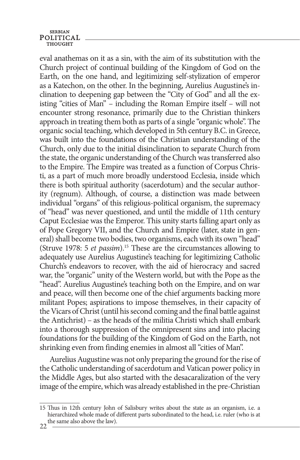eval anathemas on it as a sin, with the aim of its substitution with the Church project of continual building of the Kingdom of God on the Earth, on the one hand, and legitimizing self-stylization of emperor as a Katechon, on the other. In the beginning, Aurelius Augustine's inclination to deepening gap between the "City of God" and all the existing "cities of Man" – including the Roman Empire itself – will not encounter strong resonance, primarily due to the Christian thinkers approach in treating them both as parts of a single "organic whole". The organic social teaching, which developed in 5th century B.C. in Greece, was built into the foundations of the Christian understanding of the Church, only due to the initial disinclination to separate Church from the state, the organic understanding of the Church was transferred also to the Empire. The Empire was treated as a function of Corpus Christi, as a part of much more broadly understood Ecclesia, inside which there is both spiritual authority (sacerdotum) and the secular authority (regnum). Although, of course, a distinction was made between individual "organs" of this religious-political organism, the supremacy of "head" was never questioned, and until the middle of 11th century Caput Ecclesiae was the Emperor. This unity starts falling apart only as of Pope Gregory VII, and the Church and Empire (later, state in general) shall become two bodies, two organisms, each with its own "head" (Struve 1978: 5 *et passim*).15 These are the circumstances allowing to adequately use Aurelius Augustine's teaching for legitimizing Catholic Church's endeavors to recover, with the aid of hierocracy and sacred war, the "organic" unity of the Western world, but with the Pope as the "head". Aurelius Augustine's teaching both on the Empire, and on war and peace, will then become one of the chief arguments backing more militant Popes; aspirations to impose themselves, in their capacity of the Vicars of Christ (until his second coming and the final battle against the Antichrist) – as the heads of the militia Christi which shall embark into a thorough suppression of the omnipresent sins and into placing foundations for the building of the Kingdom of God on the Earth, not shrinking even from finding enemies in almost all "cities of Man".

Aurelius Augustine was not only preparing the ground for the rise of the Catholic understanding of sacerdotum and Vatican power policy in the Middle Ages, but also started with the desacaralization of the very image of the empire, which was already established in the pre-Christian

<sup>22</sup> the same also above the law). 15 Thus in 12th century John of Salisbury writes about the state as an organism, i.e. a hierarchized whole made of different parts subordinated to the head, i.e. ruler (who is at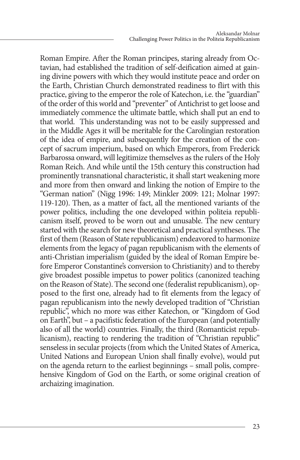Roman Empire. After the Roman principes, staring already from Octavian, had established the tradition of self-deification aimed at gaining divine powers with which they would institute peace and order on the Earth, Christian Church demonstrated readiness to flirt with this practice, giving to the emperor the role of Katechon, i.e. the "guardian" of the order of this world and "preventer" of Antichrist to get loose and immediately commence the ultimate battle, which shall put an end to that world. This understanding was not to be easily suppressed and in the Middle Ages it will be meritable for the Carolingian restoration of the idea of empire, and subsequently for the creation of the concept of sacrum imperium, based on which Emperors, from Frederick Barbarossa onward, will legitimize themselves as the rulers of the Holy Roman Reich. And while until the 15th century this construction had prominently transnational characteristic, it shall start weakening more and more from then onward and linking the notion of Empire to the "German nation" (Nigg 1996: 149; Minkler 2009: 121; Molnar 1997: 119-120). Then, as a matter of fact, all the mentioned variants of the power politics, including the one developed within politeia republicanism itself, proved to be worn out and unusable. The new century started with the search for new theoretical and practical syntheses. The first of them (Reason of State republicanism) endeavored to harmonize elements from the legacy of pagan republicanism with the elements of anti-Christian imperialism (guided by the ideal of Roman Empire before Emperor Constantine's conversion to Christianity) and to thereby give broadest possible impetus to power politics (canonized teaching on the Reason of State). The second one (federalist republicanism), opposed to the first one, already had to fit elements from the legacy of pagan republicanism into the newly developed tradition of "Christian republic", which no more was either Katechon, or "Kingdom of God on Earth", but – a pacifistic federation of the European (and potentially also of all the world) countries. Finally, the third (Romanticist republicanism), reacting to rendering the tradition of "Christian republic" senseless in secular projects (from which the United States of America, United Nations and European Union shall finally evolve), would put on the agenda return to the earliest beginnings – small polis, comprehensive Kingdom of God on the Earth, or some original creation of archaizing imagination.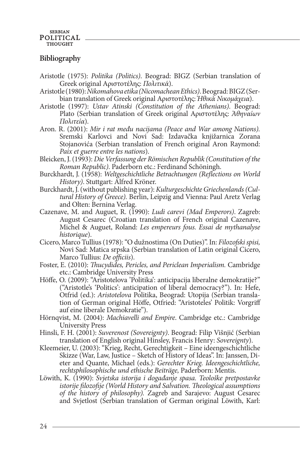### **Bibliography**

- Aristotle (1975): *Politika (Politics)*. Beograd: BIGZ (Serbian translation of Greek original Αριστοτέλης: *Πολιτικά*).
- Aristotle (1980): *Nikomahova etika (Nicomachean Ethics)*. Beograd: BIGZ (Serbian translation of Greek original Αριστοτέλης: *Ἠθικὰ Νικομάχεια*).
- Aristotle (1997): *Ustav Atinski (Constitution of the Athenians)*. Beograd: Plato (Serbian translation of Greek original Αριστοτέλης: *Ἀθηναίων Πολιτεία*).
- Aron. R. (2001): *Mir i rat među nacijama (Peace and War among Nations).* Sremski Karlovci and Novi Sad: Izdavačka knjižarnica Zorana Stojanovića (Serbian translation of French original Aron Raymond: *Paix et guerre entre les nations*).
- Bleicken, J. (1993): *Die Verfassung der Römischen Republik (Constitution of the Roman Republic)*. Paderborn etc.: Ferdinand Schöningh.
- Burckhardt, J. (1958): *Weltgeschichtliche Betrachtungen (Reflections on World History)*. Stuttgart: Alfred Kröner.
- Burckhardt, J. (without publishing year): *Kulturgeschichte Griechenlands (Cultural History of Greece).* Berlin, Leipzig and Vienna: Paul Aretz Verlag and Olten: Bernina Verlag.
- Cazenave, M. and Auguet, R. (1990): *Ludi carevi (Mad Emperors)*. Zagreb: August Cesarec (Croatian translation of French original Cazenave, Michel & Auguet, Roland: *Les empereurs fous. Essai de mythanalyse historique*).
- Cicero, Marco Tullius (1978): "O dužnostima (On Duties)". In: *Filozofski spisi,*  Novi Sad: Matica srpska (Serbian translation of Latin original Cicero, Marco Tullius: *De officiis*).
- Foster, E. (2010): *Thucydides, Pericles, and Periclean Imperialism.* Cambridge etc.: Cambridge University Press
- Höffe, O. (2009): "Aristotelova 'Politika': anticipacija liberalne demokratije?" ("Aristotle's 'Politics': anticipation of liberal democracy?"). In: Hefe, Otfrid (ed.): *Aristotelova* Politika, Beograd: Utopija (Serbian translation of German original Höffe, Otfried: "Aristoteles' Politik: Vorgriff auf eine liberale Demokratie").
- Hörnqvist, M. (2004): *Machiavelli and Empire*. Cambridge etc.: Cambridge University Press
- Hinsli, F. H. (2001): *Suverenost (Sovereignty)*. Beograd: Filip Višnjić (Serbian translation of English original Hinsley, Francis Henry: *Sovereignty*).
- Kleemeier, U. (2003): "Krieg, Recht, Gerechtigkeit Eine ideengeschichtliche Skizze (War, Law, Justice – Sketch of History of Ideas". In: Janssen, Dieter and Quante, Michael (eds.): *Gerechter Krieg. Ideengeschichtliche, rechtsphilosophische und ethische Beiträge,* Paderborn: Mentis.
- Löwith, K. (1990): *Svjetska istorija i događanje spasa. Teološke pretpostavke istorije filozofije (World History and Salvation. Theological assumptions of the history of philosophy).* Zagreb and Sarajevo: August Cesarec and Svjetlost (Serbian translation of German original Löwith, Karl: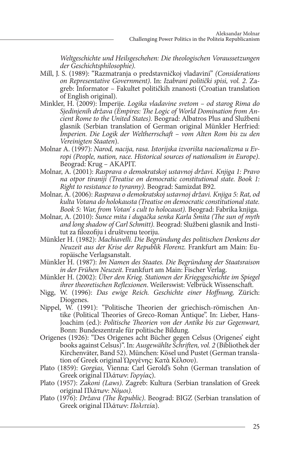*Weltgeschichte und Heilsgeschehen: Die theologischen Voraussetzungen der Geschichtsphilosophie).*

- Mill, J. S. (1989): "Razmatranja o predstavničkoj vladavini" *(Considerations on Representative Government)*. In: *Izabrani politički spisi, vol. 2.* Zagreb: Informator – Fakultet političkih znanosti (Croatian translation of English original).
- Minkler, H. (2009): Imperije. *Logika vladavine svetom od starog Rima do Sjedinjenih država (Empires: The Logic of World Domination from Ancient Rome to the United States).* Beograd: Albatros Plus and Službeni glasnik (Serbian translation of German original Münkler Herfried: *Imperien. Die Logik der Weltherrschaft – vom Alten Rom bis zu den Vereinigten Staaten*).
- Molnar A. (1997): *Narod, nacija, rasa. Istorijska izvorišta nacionalizma u Evropi (People, nation, race. Historical sources of nationalism in Europe)*. Beograd: Krug – AKAPIT.
- Molnar, A. (2001): *Rasprava o demokratskoj ustavnoj državi. Knjiga 1: Pravo na otpor tiraniji (Treatise on democratic constitutional state. Book 1: Right to resistance to tyranny).* Beograd: Samizdat B92.
- Molnar, A. (2006): *Rasprava o demokratskoj ustavnoj državi. Knjiga 5: Rat, od kulta Votana do holokausta (Treatise on democratic constitutional state. Book 5: War, from Votan' s cult to holocaust).* Beograd: Fabrika knjiga.
- Molnar, A. (2010): *Sunce mita i dugačka senka Karla Šmita (The sun of myth and long shadow of Carl Schmitt).* Beograd: Službeni glasnik and Institut za filozofiju i društvenu teoriju.
- Münkler H. (1982): *Machiavelli. Die Begründung des politischen Denkens der Neuzeit aus der Krise der Republik Florenz.* Frankfurt am Main: Europäische Verlagsanstalt.
- Münkler H. (1987): *Im Namen des Staates. Die Begründung der Staatsraison in der Frühen Neuzeit*. Frankfurt am Main: Fischer Verlag.
- Münkler H. (2002): *Über den Krieg. Stationen der Kriegsgeschichte im Spiegel ihrer theoretischen Reflexionen*. Weilerswist: Velbrück Wissenschaft.
- Nigg, W. (1996): *Das ewige Reich. Geschichte einer Hoffnung,* Zürich: Diogenes.
- Nippel, W. (1991): "Politische Theorien der griechisch-römischen Antike (Political Theories of Greco-Roman Antique". In: Lieber, Hans-Joachim (ed.): *Politische Theorien von der Antike bis zur Gegenwart,* Bonn: Bundeszentrale für politische Bildung.
- Origenes (1926): "Des Origenes acht Bücher gegen Celsus (Origenes' eight books against Celsus)". In: *Ausgewählte Schriften, vol. 2* (Bibliothek der Kirchenväter, Band 52). München: Kösel und Pustet (German translation of Greek original Ὠριγένης: Κατὰ Κέλσου).
- Plato (1859): *Gorgias,* Vienna: Carl Gerold's Sohn (German translation of Greek original Πλάτων: *Γοργίας*).
- Plato (1957): *Zakoni (Laws)*. Zagreb: Kultura (Serbian translation of Greek original Πλάτων: *Νόμοι)*.
- Plato (1976): *Država (The Republic)*. Beograd: BIGZ (Serbian translation of Greek original Πλάτων: *Πολιτεία*).